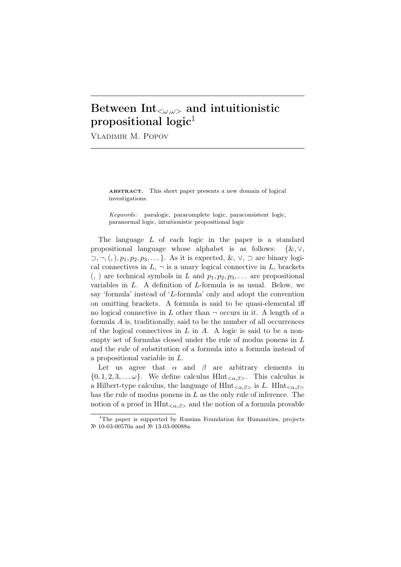## Between Int*<ω,ω>* and intuitionistic propositional  $logic<sup>1</sup>$

Vladimir M. Popov

ABSTRACT. This short paper presents a new domain of logical investigations.

*Keywords:* paralogic, paracomplete logic, paraconsistent logic, paranormal logic, intuitionistic propositional logic

The language *L* of each logic in the paper is a standard propositional language whose alphabet is as follows: *{*&*, ∨, ⊃, ¬,*(*,*)*, p*1*, p*2*, p*3*, . . . }*. As it is expected, &, *∨*, *⊃* are binary logical connectives in  $L$ ,  $\neg$  is a unary logical connective in  $L$ , brackets  $($ ,  $)$  are technical symbols in *L* and  $p_1, p_2, p_3, \ldots$  are propositional variables in *L*. A definition of *L*-formula is as usual. Below, we say 'formula' instead of '*L*-formula' only and adopt the convention on omitting brackets. A formula is said to be quasi-elemental iff no logical connective in  $L$  other than  $\neg$  occurs in it. A length of a formula *A* is, traditionally, said to be the number of all occurrences of the logical connectives in *L* in *A*. A logic is said to be a nonempty set of formulas closed under the rule of modus ponens in *L* and the rule of substitution of a formula into a formula instead of a propositional variable in *L*.

Let us agree that  $\alpha$  and  $\beta$  are arbitrary elements in  $\{0, 1, 2, 3, \ldots \omega\}$ . We define calculus HInt<sub> $\langle \alpha, \beta \rangle$ </sub>. This calculus is a Hilbert-type calculus, the language of HInt*<α,β>* is *L*. HInt*<α,β>* has the rule of modus ponens in *L* as the only rule of inference. The notion of a proof in  $\text{HInt}_{\leq \alpha,\beta>}$  and the notion of a formula provable

<sup>&</sup>lt;sup>1</sup>The paper is supported by Russian Foundation for Humanities, projects № 10-03-00570a and № 13-03-00088a.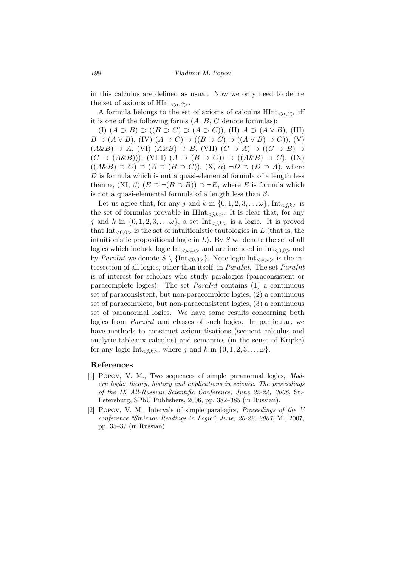in this calculus are defined as usual. Now we only need to define the set of axioms of  $\text{HInt}_{\leq \alpha,\beta>}$ .

A formula belongs to the set of axioms of calculus HInt*<α,β>* iff it is one of the following forms (*A*, *B*, *C* denote formulas):

(I) (*A ⊃ B*) *⊃* ((*B ⊃ C*) *⊃* (*A ⊃ C*)), (II) *A ⊃* (*A ∨ B*), (III) *B* ⊃ (*A*  $\vee$  *B*), (IV) (*A* ⊃ *C*) ⊃ ((*B* ⊃ *C*) ⊃ ((*A*  $\vee$  *B*) ⊃ *C*)), (V) (*A*&*B*) *⊃ A*, (VI) (*A*&*B*) *⊃ B*, (VII) (*C ⊃ A*) *⊃* ((*C ⊃ B*) *⊃* (*C ⊃* (*A*&*B*))), (VIII) (*A ⊃* (*B ⊃ C*)) *⊃* ((*A*&*B*) *⊃ C*), (IX)  $((A\&B) \supset C) \supset (A \supset (B \supset C)), (X, \alpha) \supset D \supset (D \supset A),$  where *D* is formula which is not a quasi-elemental formula of a length less than  $\alpha$ ,  $(XI, \beta)$   $(E \supset \neg (B \supset B)) \supset \neg E$ , where *E* is formula which is not a quasi-elemental formula of a length less than *β*.

Let us agree that, for any *j* and *k* in  $\{0, 1, 2, 3, \ldots \omega\}$ , Int<sub>ciks</sub> is the set of formulas provable in  $\text{HInt}_{\leq i,k>}$ . It is clear that, for any *j* and *k* in  $\{0, 1, 2, 3, \ldots \omega\}$ , a set Int<sub> $\langle i,k \rangle$ </sub> is a logic. It is proved that  $Int_{\leq 0,0>}$  is the set of intuitionistic tautologies in L (that is, the intuitionistic propositional logic in *L*). By *S* we denote the set of all logics which include logic Int*<ω,ω>* and are included in Int*<*0*,*0*<sup>&</sup>gt;* and by *ParaInt* we denote  $S \setminus {\text{Int}_{\leq 0,0>} }$ . Note logic  ${\text{Int}}_{\leq \omega,\omega>}$  is the intersection of all logics, other than itself, in *ParaInt*. The set *ParaInt* is of interest for scholars who study paralogics (paraconsistent or paracomplete logics). The set *ParaInt* contains (1) a continuous set of paraconsistent, but non-paracomplete logics, (2) a continuous set of paracomplete, but non-paraconsistent logics, (3) a continuous set of paranormal logics. We have some results concerning both logics from *ParaInt* and classes of such logics. In particular, we have methods to construct axiomatisations (sequent calculus and analytic-tableaux calculus) and semantics (in the sense of Kripke) for any logic  $\text{Int}_{\leq i,k>}$ , where *j* and *k* in  $\{0,1,2,3,\ldots\omega\}$ .

## References

- [1] Popov, V. M., Two sequences of simple paranormal logics, *Modern logic: theory, history and applications in science. The proceedings of the IX All-Russian Scientific Conference, June 22-24, 2006*, St.- Petersburg, SPbU Publishers, 2006, pp. 382–385 (in Russian).
- [2] Popov, V. M., Intervals of simple paralogics, *Proceedings of the V conference "Smirnov Readings in Logic", June, 20-22, 2007*, M., 2007, pp. 35–37 (in Russian).